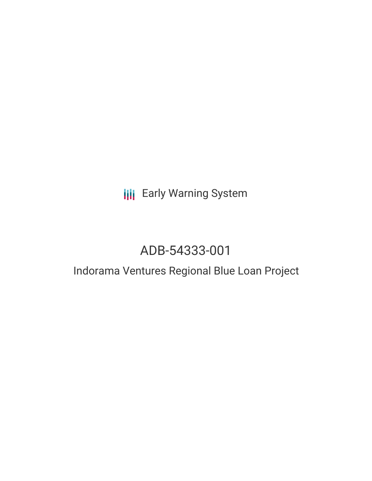### **III** Early Warning System

## ADB-54333-001

### Indorama Ventures Regional Blue Loan Project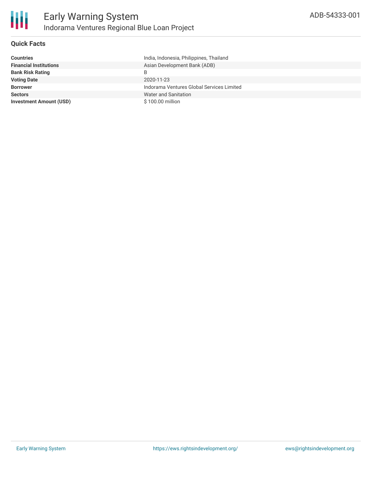

#### **Quick Facts**

| <b>Countries</b>               | India, Indonesia, Philippines, Thailand   |
|--------------------------------|-------------------------------------------|
| <b>Financial Institutions</b>  | Asian Development Bank (ADB)              |
| <b>Bank Risk Rating</b>        | B                                         |
| <b>Voting Date</b>             | 2020-11-23                                |
| <b>Borrower</b>                | Indorama Ventures Global Services Limited |
| <b>Sectors</b>                 | Water and Sanitation                      |
| <b>Investment Amount (USD)</b> | \$100.00 million                          |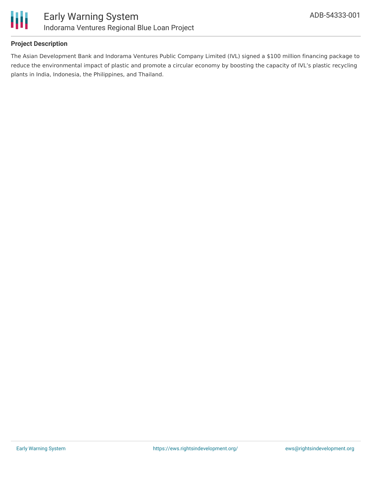

#### **Project Description**

The Asian Development Bank and Indorama Ventures Public Company Limited (IVL) signed a \$100 million financing package to reduce the environmental impact of plastic and promote a circular economy by boosting the capacity of IVL's plastic recycling plants in India, Indonesia, the Philippines, and Thailand.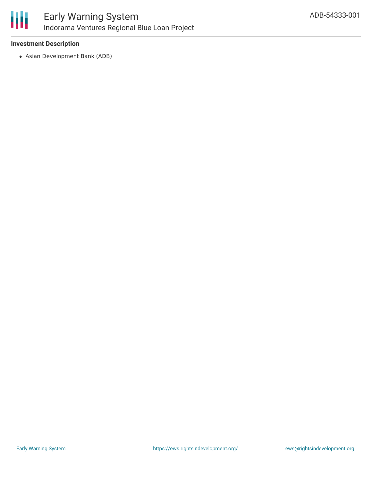

### Early Warning System Indorama Ventures Regional Blue Loan Project

#### **Investment Description**

Asian Development Bank (ADB)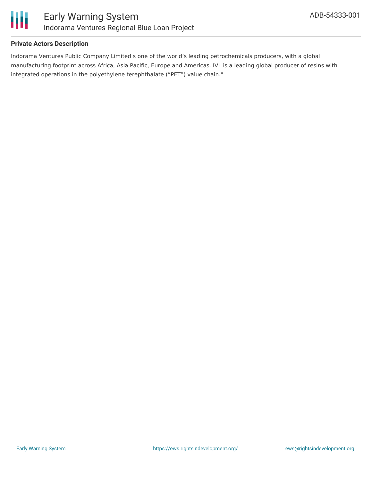

#### **Private Actors Description**

Indorama Ventures Public Company Limited s one of the world's leading petrochemicals producers, with a global manufacturing footprint across Africa, Asia Pacific, Europe and Americas. IVL is a leading global producer of resins with integrated operations in the polyethylene terephthalate ("PET") value chain."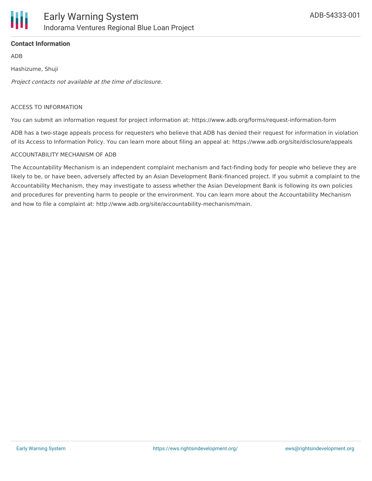

#### **Contact Information**

ADB

Hashizume, Shuji

Project contacts not available at the time of disclosure.

#### ACCESS TO INFORMATION

You can submit an information request for project information at: https://www.adb.org/forms/request-information-form

ADB has a two-stage appeals process for requesters who believe that ADB has denied their request for information in violation of its Access to Information Policy. You can learn more about filing an appeal at: https://www.adb.org/site/disclosure/appeals

#### ACCOUNTABILITY MECHANISM OF ADB

The Accountability Mechanism is an independent complaint mechanism and fact-finding body for people who believe they are likely to be, or have been, adversely affected by an Asian Development Bank-financed project. If you submit a complaint to the Accountability Mechanism, they may investigate to assess whether the Asian Development Bank is following its own policies and procedures for preventing harm to people or the environment. You can learn more about the Accountability Mechanism and how to file a complaint at: http://www.adb.org/site/accountability-mechanism/main.